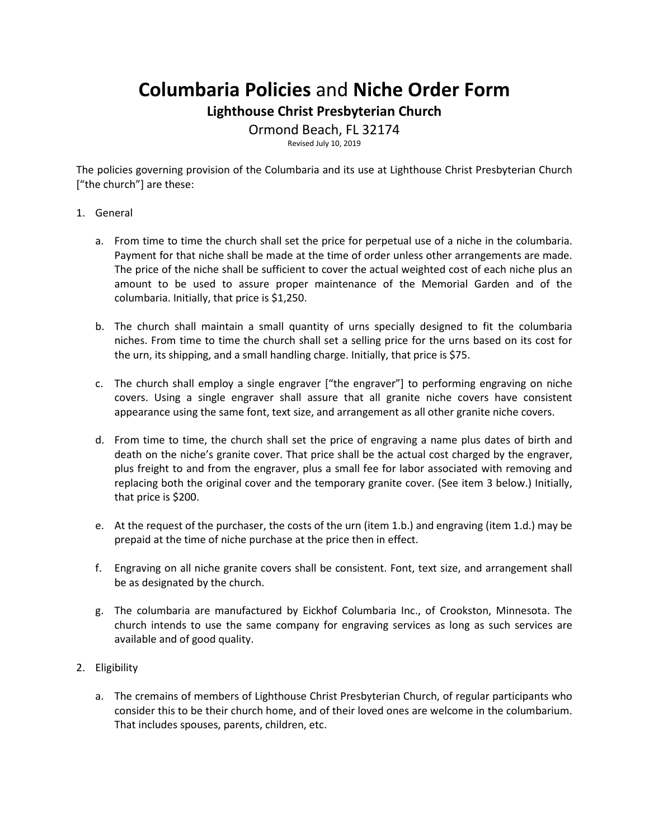**Columbaria Policies** and **Niche Order Form**

## **Lighthouse Christ Presbyterian Church**

Ormond Beach, FL 32174

Revised July 10, 2019

The policies governing provision of the Columbaria and its use at Lighthouse Christ Presbyterian Church ["the church"] are these:

## 1. General

- a. From time to time the church shall set the price for perpetual use of a niche in the columbaria. Payment for that niche shall be made at the time of order unless other arrangements are made. The price of the niche shall be sufficient to cover the actual weighted cost of each niche plus an amount to be used to assure proper maintenance of the Memorial Garden and of the columbaria. Initially, that price is \$1,250.
- b. The church shall maintain a small quantity of urns specially designed to fit the columbaria niches. From time to time the church shall set a selling price for the urns based on its cost for the urn, its shipping, and a small handling charge. Initially, that price is \$75.
- c. The church shall employ a single engraver ["the engraver"] to performing engraving on niche covers. Using a single engraver shall assure that all granite niche covers have consistent appearance using the same font, text size, and arrangement as all other granite niche covers.
- d. From time to time, the church shall set the price of engraving a name plus dates of birth and death on the niche's granite cover. That price shall be the actual cost charged by the engraver, plus freight to and from the engraver, plus a small fee for labor associated with removing and replacing both the original cover and the temporary granite cover. (See item 3 below.) Initially, that price is \$200.
- e. At the request of the purchaser, the costs of the urn (item 1.b.) and engraving (item 1.d.) may be prepaid at the time of niche purchase at the price then in effect.
- f. Engraving on all niche granite covers shall be consistent. Font, text size, and arrangement shall be as designated by the church.
- g. The columbaria are manufactured by Eickhof Columbaria Inc., of Crookston, Minnesota. The church intends to use the same company for engraving services as long as such services are available and of good quality.
- 2. Eligibility
	- a. The cremains of members of Lighthouse Christ Presbyterian Church, of regular participants who consider this to be their church home, and of their loved ones are welcome in the columbarium. That includes spouses, parents, children, etc.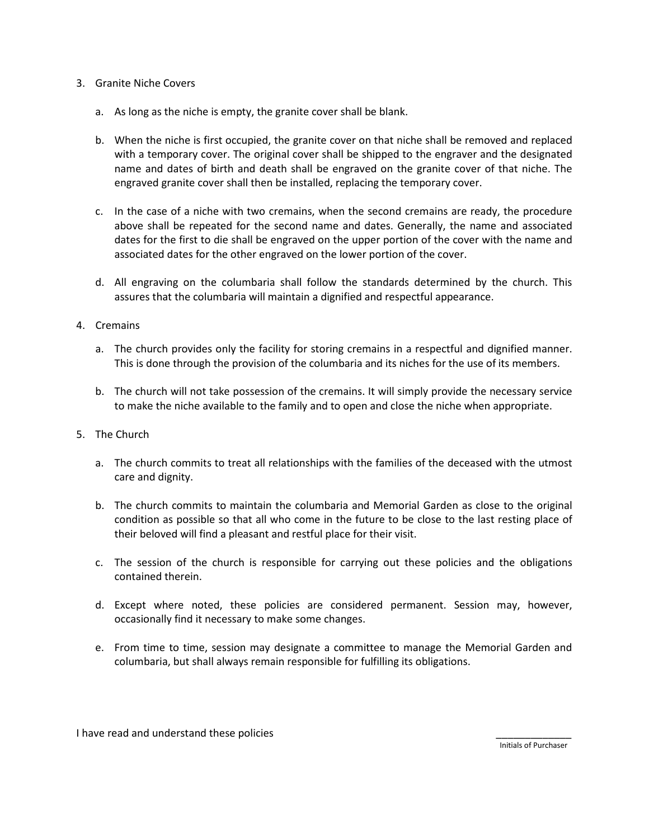## 3. Granite Niche Covers

- a. As long as the niche is empty, the granite cover shall be blank.
- b. When the niche is first occupied, the granite cover on that niche shall be removed and replaced with a temporary cover. The original cover shall be shipped to the engraver and the designated name and dates of birth and death shall be engraved on the granite cover of that niche. The engraved granite cover shall then be installed, replacing the temporary cover.
- c. In the case of a niche with two cremains, when the second cremains are ready, the procedure above shall be repeated for the second name and dates. Generally, the name and associated dates for the first to die shall be engraved on the upper portion of the cover with the name and associated dates for the other engraved on the lower portion of the cover.
- d. All engraving on the columbaria shall follow the standards determined by the church. This assures that the columbaria will maintain a dignified and respectful appearance.
- 4. Cremains
	- a. The church provides only the facility for storing cremains in a respectful and dignified manner. This is done through the provision of the columbaria and its niches for the use of its members.
	- b. The church will not take possession of the cremains. It will simply provide the necessary service to make the niche available to the family and to open and close the niche when appropriate.
- 5. The Church
	- a. The church commits to treat all relationships with the families of the deceased with the utmost care and dignity.
	- b. The church commits to maintain the columbaria and Memorial Garden as close to the original condition as possible so that all who come in the future to be close to the last resting place of their beloved will find a pleasant and restful place for their visit.
	- c. The session of the church is responsible for carrying out these policies and the obligations contained therein.
	- d. Except where noted, these policies are considered permanent. Session may, however, occasionally find it necessary to make some changes.
	- e. From time to time, session may designate a committee to manage the Memorial Garden and columbaria, but shall always remain responsible for fulfilling its obligations.

I have read and understand these policies